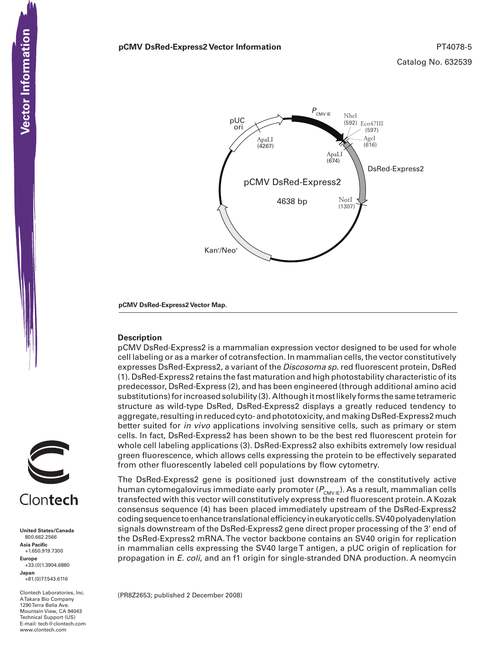

**pCMV DsRed-Express2 Vector Map.**

#### **Description**

pCMV DsRed-Express2 is a mammalian expression vector designed to be used for whole cell labeling or as a marker of cotransfection. In mammalian cells, the vector constitutively expresses DsRed-Express2, a variant of the *Discosoma sp*. red fluorescent protein, DsRed (1). DsRed-Express2 retains the fast maturation and high photostability characteristic of its predecessor, DsRed-Express (2), and has been engineered (through additional amino acid substitutions) for increased solubility (3). Although it most likely forms the same tetrameric structure as wild-type DsRed, DsRed-Express2 displays a greatly reduced tendency to aggregate, resulting in reduced cyto- and phototoxicity, and making DsRed-Express2 much better suited for *in vivo* applications involving sensitive cells, such as primary or stem cells. In fact, DsRed-Express2 has been shown to be the best red fluorescent protein for whole cell labeling applications (3). DsRed-Express2 also exhibits extremely low residual green fluorescence, which allows cells expressing the protein to be effectively separated from other fluorescently labeled cell populations by flow cytometry.

The DsRed-Express2 gene is positioned just downstream of the constitutively active human cytomegalovirus immediate early promoter ( $P_{\text{CMVE}}$ ). As a result, mammalian cells transfected with this vector will constitutively express the red fluorescent protein. A Kozak consensus sequence (4) has been placed immediately upstream of the DsRed-Express2 coding sequence to enhance translational efficiency in eukaryotic cells. SV40 polyadenylation signals downstream of the DsRed-Express2 gene direct proper processing of the 3' end of the DsRed-Express2 mRNA. The vector backbone contains an SV40 origin for replication in mammalian cells expressing the SV40 large T antigen, a pUC origin of replication for propagation in *E. coli*, and an f1 origin for single-stranded DNA production. A neomycin

(PR8Z2653; published 2 December 2008)





Clontech Laboratories, Inc. A Takara Bio Company 1290 Terra Bella Ave. Mountain View, CA 94043 Technical Support (US) E-mail: tech@clontech.com<br>www.clontech.com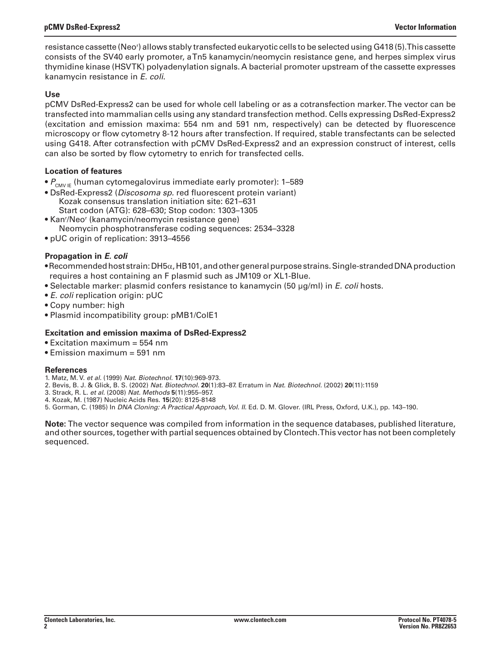resistance cassette (Neor ) allows stably transfected eukaryotic cells to be selected using G418 (5). This cassette consists of the SV40 early promoter, a Tn5 kanamycin/neomycin resistance gene, and herpes simplex virus thymidine kinase (HSV TK) polyadenylation signals. A bacterial promoter upstream of the cassette expresses kanamycin resistance in *E. coli*.

## **Use**

pCMV DsRed-Express2 can be used for whole cell labeling or as a cotransfection marker. The vector can be transfected into mammalian cells using any standard transfection method. Cells expressing DsRed-Express2 (excitation and emission maxima: 554 nm and 591 nm, respectively) can be detected by fluorescence microscopy or flow cytometry 8-12 hours after transfection. If required, stable transfectants can be selected using G418. After cotransfection with pCMV DsRed-Express2 and an expression construct of interest, cells can also be sorted by flow cytometry to enrich for transfected cells.

# **Location of features**

- $P_{\text{CMV IF}}$  (human cytomegalovirus immediate early promoter): 1–589
- DsRed-Express2 (*Discosoma sp.* red fluorescent protein variant) Kozak consensus translation initiation site: 621–631 Start codon (ATG): 628–630; Stop codon: 1303–1305
- Kan'/Neo' (kanamycin/neomycin resistance gene) Neomycin phosphotransferase coding sequences: 2534–3328
- pUC origin of replication: 3913–4556

# **Propagation in** *E. coli*

- Recommended host strain: DH5 $\alpha$ , HB101, and other general purpose strains. Single-stranded DNA production requires a host containing an F plasmid such as JM109 or XL1-Blue.
- Selectable marker: plasmid confers resistance to kanamycin (50 μg/ml) in *E. coli* hosts.
- *E. coli* replication origin: pUC
- Copy number: high
- Plasmid incompatibility group: pMB1/ColE1

## **Excitation and emission maxima of DsRed-Express2**

- Excitation maximum = 554 nm
- $\bullet$  Emission maximum = 591 nm

#### **References**

- 1. Matz, M. V. *et al.* (1999) *Nat. Biotechnol.* **17**(10):969-973.
- 2. Bevis, B. J. & Glick, B. S. (2002) *Nat. Biotechnol.* **20**(1):83–87. Erratum in *Nat. Biotechnol.* (2002) **20**(11):1159
- 3. Strack, R. L. *et al.* (2008) *Nat. Methods* **5**(11):955–957. 4. Kozak, M. (1987) Nucleic Acids Res. **15**(20): 8125-8148
- 5. Gorman, C. (1985) In *DNA Cloning: A Practical Approach, Vol. II.* Ed. D. M. Glover. (IRL Press, Oxford, U.K.), pp. 143–190.

**Note:** The vector sequence was compiled from information in the sequence databases, published literature, and other sources, together with partial sequences obtained by Clontech. This vector has not been completely sequenced.